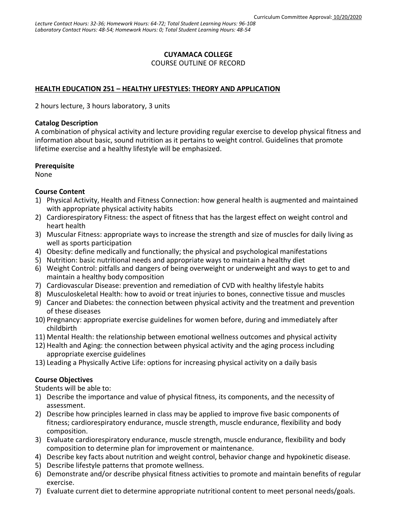### **CUYAMACA COLLEGE**

COURSE OUTLINE OF RECORD

### **HEALTH EDUCATION 251 – HEALTHY LIFESTYLES: THEORY AND APPLICATION**

2 hours lecture, 3 hours laboratory, 3 units

#### **Catalog Description**

A combination of physical activity and lecture providing regular exercise to develop physical fitness and information about basic, sound nutrition as it pertains to weight control. Guidelines that promote lifetime exercise and a healthy lifestyle will be emphasized.

#### **Prerequisite**

None

#### **Course Content**

- 1) Physical Activity, Health and Fitness Connection: how general health is augmented and maintained with appropriate physical activity habits
- 2) Cardiorespiratory Fitness: the aspect of fitness that has the largest effect on weight control and heart health
- 3) Muscular Fitness: appropriate ways to increase the strength and size of muscles for daily living as well as sports participation
- 4) Obesity: define medically and functionally; the physical and psychological manifestations
- 5) Nutrition: basic nutritional needs and appropriate ways to maintain a healthy diet
- 6) Weight Control: pitfalls and dangers of being overweight or underweight and ways to get to and maintain a healthy body composition
- 7) Cardiovascular Disease: prevention and remediation of CVD with healthy lifestyle habits
- 8) Musculoskeletal Health: how to avoid or treat injuries to bones, connective tissue and muscles
- 9) Cancer and Diabetes: the connection between physical activity and the treatment and prevention of these diseases
- 10) Pregnancy: appropriate exercise guidelines for women before, during and immediately after childbirth
- 11) Mental Health: the relationship between emotional wellness outcomes and physical activity
- 12) Health and Aging: the connection between physical activity and the aging process including appropriate exercise guidelines
- 13) Leading a Physically Active Life: options for increasing physical activity on a daily basis

## **Course Objectives**

Students will be able to:

- 1) Describe the importance and value of physical fitness, its components, and the necessity of assessment.
- 2) Describe how principles learned in class may be applied to improve five basic components of fitness; cardiorespiratory endurance, muscle strength, muscle endurance, flexibility and body composition.
- 3) Evaluate cardiorespiratory endurance, muscle strength, muscle endurance, flexibility and body composition to determine plan for improvement or maintenance.
- 4) Describe key facts about nutrition and weight control, behavior change and hypokinetic disease.
- 5) Describe lifestyle patterns that promote wellness.
- 6) Demonstrate and/or describe physical fitness activities to promote and maintain benefits of regular exercise.
- 7) Evaluate current diet to determine appropriate nutritional content to meet personal needs/goals.